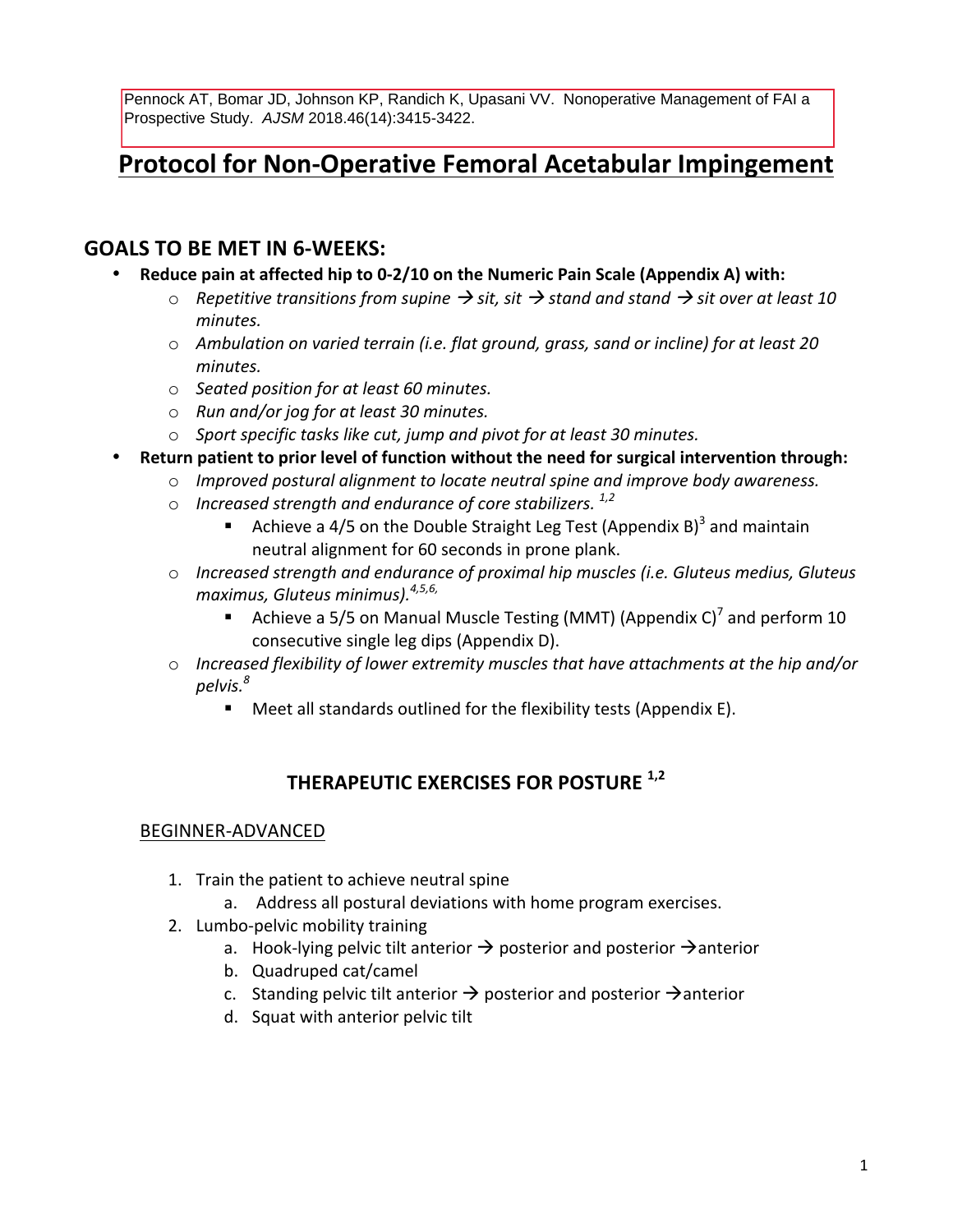Pennock AT, Bomar JD, Johnson KP, Randich K, Upasani VV. Nonoperative Management of FAI a Prospective Study. AJSM 2018.46(14):3415-3422.

# **Protocol for Non-Operative Femoral Acetabular Impingement**

## **GOALS TO BE MET IN 6-WEEKS:**

- **Reduce pain at affected hip to 0-2/10 on the Numeric Pain Scale (Appendix A) with:** 
	- $\circ$  *Repetitive transitions from supine*  $\rightarrow$  sit, sit  $\rightarrow$  stand and stand  $\rightarrow$  sit over at least 10 *minutes.*
	- $\circ$  *Ambulation on varied terrain (i.e. flat ground, grass, sand or incline) for at least 20 minutes.*
	- o *Seated position for at least 60 minutes.*
	- o *Run and/or jog for at least 30 minutes.*
	- o *Sport specific tasks like cut, jump and pivot for at least 30 minutes.*
- **Return patient to prior level of function without the need for surgical intervention through:** 
	- $\circ$  *Improved postural alignment to locate neutral spine and improve body awareness.*
	- o *Increased strength and endurance of core stabilizers. 1,2*
		- Achieve a 4/5 on the Double Straight Leg Test (Appendix B)<sup>3</sup> and maintain neutral alignment for 60 seconds in prone plank.
	- o Increased strength and endurance of proximal hip muscles (i.e. Gluteus medius, Gluteus *maximus, Gluteus minimus). 4,5,6,*
		- Achieve a 5/5 on Manual Muscle Testing (MMT) (Appendix C)<sup>7</sup> and perform 10 consecutive single leg dips (Appendix D).
	- $\circ$  Increased flexibility of lower extremity muscles that have attachments at the hip and/or *pelvis. 8*
		- $\blacksquare$  Meet all standards outlined for the flexibility tests (Appendix E).

## **THERAPEUTIC EXERCISES FOR POSTURE 1,2**

#### BEGINNER-ADVANCED

- 1. Train the patient to achieve neutral spine
	- a. Address all postural deviations with home program exercises.
- 2. Lumbo-pelvic mobility training
	- a. Hook-lying pelvic tilt anterior  $\rightarrow$  posterior and posterior  $\rightarrow$  anterior
	- b. Quadruped cat/camel
	- c. Standing pelvic tilt anterior  $\rightarrow$  posterior and posterior  $\rightarrow$  anterior
	- d. Squat with anterior pelvic tilt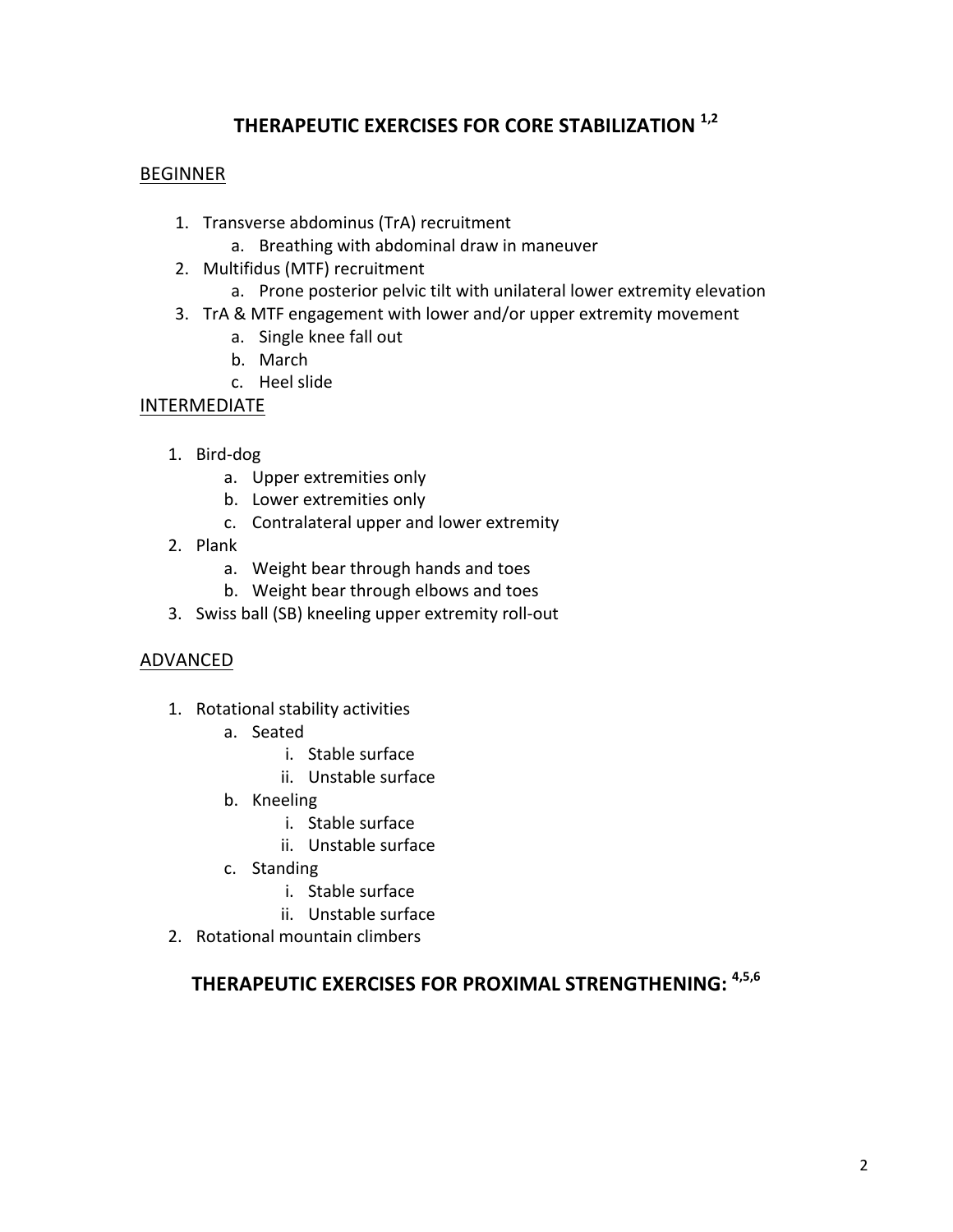## **THERAPEUTIC EXERCISES FOR CORE STABILIZATION 1,2**

#### BEGINNER

- 1. Transverse abdominus (TrA) recruitment
	- a. Breathing with abdominal draw in maneuver
- 2. Multifidus (MTF) recruitment
	- a. Prone posterior pelvic tilt with unilateral lower extremity elevation
- 3. TrA & MTF engagement with lower and/or upper extremity movement
	- a. Single knee fall out
	- b. March
	- c. Heel slide
- INTERMEDIATE
	- 1. Bird-dog
		- a. Upper extremities only
		- b. Lower extremities only
		- c. Contralateral upper and lower extremity
	- 2. Plank
		- a. Weight bear through hands and toes
		- b. Weight bear through elbows and toes
	- 3. Swiss ball (SB) kneeling upper extremity roll-out

#### ADVANCED

- 1. Rotational stability activities
	- a. Seated
		- i. Stable surface
		- ii. Unstable surface
	- b. Kneeling
		- i. Stable surface
		- ii. Unstable surface
	- c. Standing
		- i. Stable surface
		- ii. Unstable surface
- 2. Rotational mountain climbers

## **THERAPEUTIC EXERCISES FOR PROXIMAL STRENGTHENING: 4,5,6**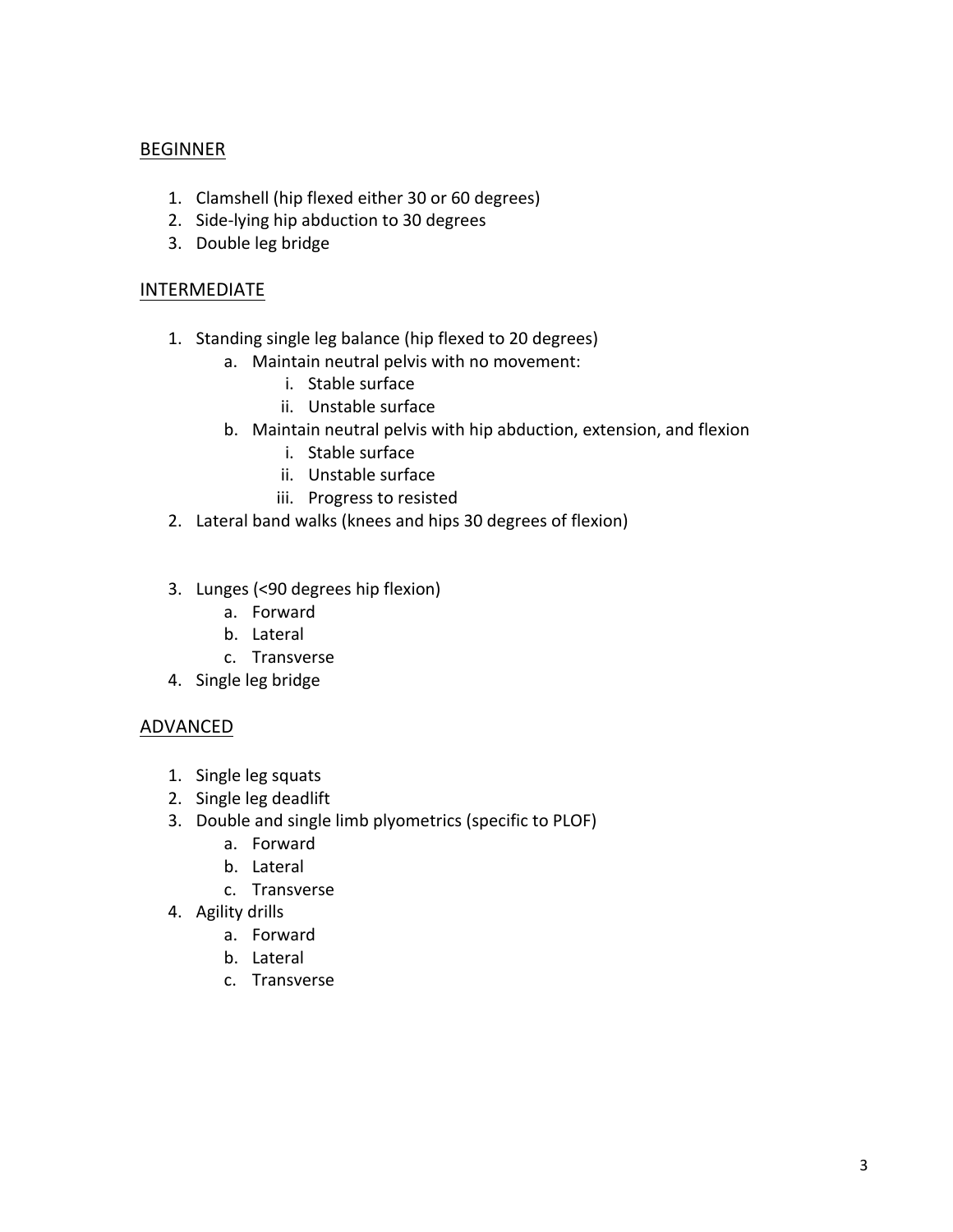## BEGINNER

- 1. Clamshell (hip flexed either 30 or 60 degrees)
- 2. Side-lying hip abduction to 30 degrees
- 3. Double leg bridge

#### INTERMEDIATE

- 1. Standing single leg balance (hip flexed to 20 degrees)
	- a. Maintain neutral pelvis with no movement:
		- i. Stable surface
		- ii. Unstable surface
	- b. Maintain neutral pelvis with hip abduction, extension, and flexion
		- i. Stable surface
		- ii. Unstable surface
		- iii. Progress to resisted
- 2. Lateral band walks (knees and hips 30 degrees of flexion)
- 3. Lunges (<90 degrees hip flexion)
	- a. Forward
	- b. Lateral
	- c. Transverse
- 4. Single leg bridge

## ADVANCED

- 1. Single leg squats
- 2. Single leg deadlift
- 3. Double and single limb plyometrics (specific to PLOF)
	- a. Forward
	- b. Lateral
	- c. Transverse
- 4. Agility drills
	- a. Forward
	- b. Lateral
	- c. Transverse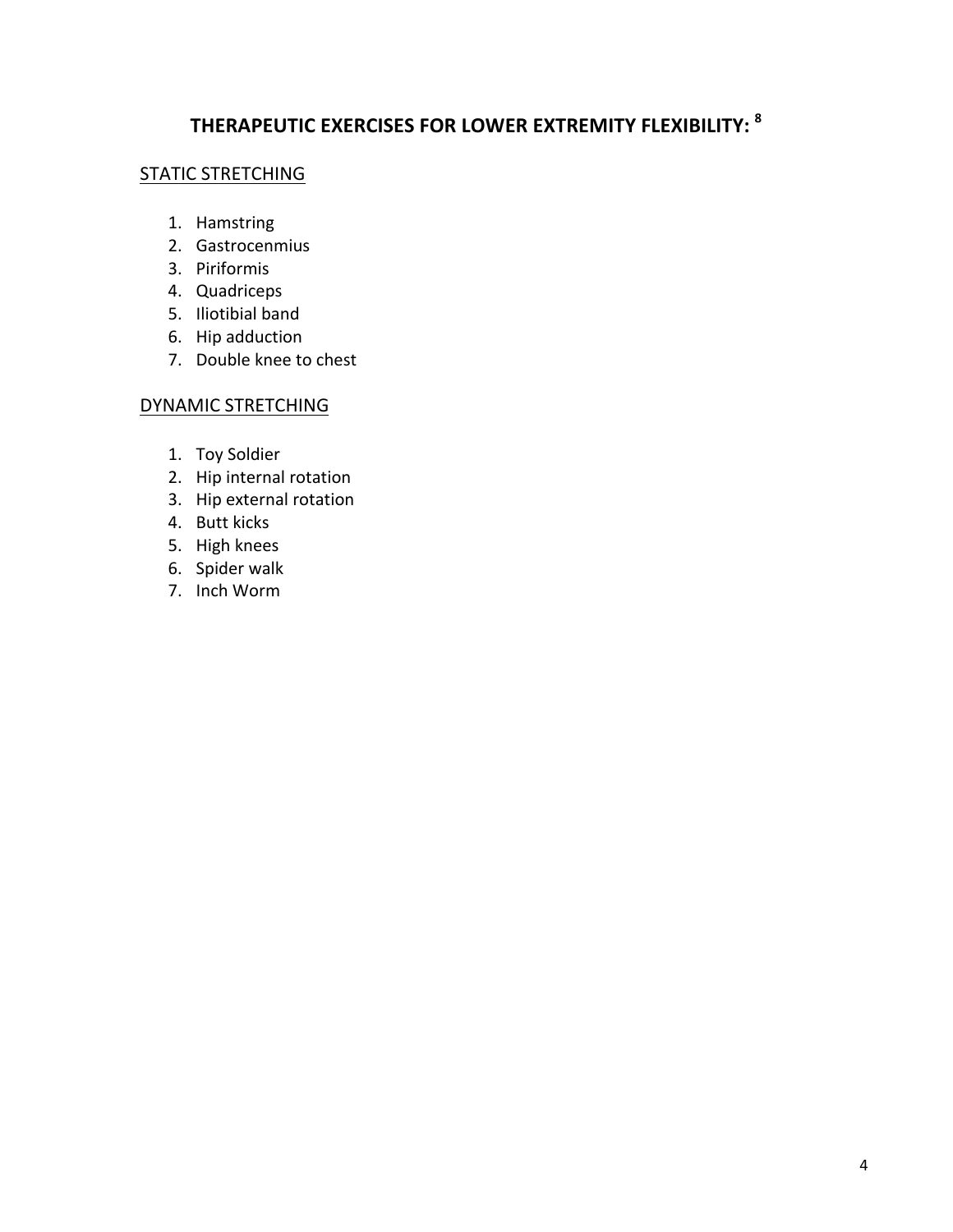# **THERAPEUTIC EXERCISES FOR LOWER EXTREMITY FLEXIBILITY: <sup>8</sup>**

#### STATIC STRETCHING

- 1. Hamstring
- 2. Gastrocenmius
- 3. Piriformis
- 4. Quadriceps
- 5. Iliotibial band
- 6. Hip adduction
- 7. Double knee to chest

#### DYNAMIC STRETCHING

- 1. Toy Soldier
- 2. Hip internal rotation
- 3. Hip external rotation
- 4. Butt kicks
- 5. High knees
- 6. Spider walk
- 7. Inch Worm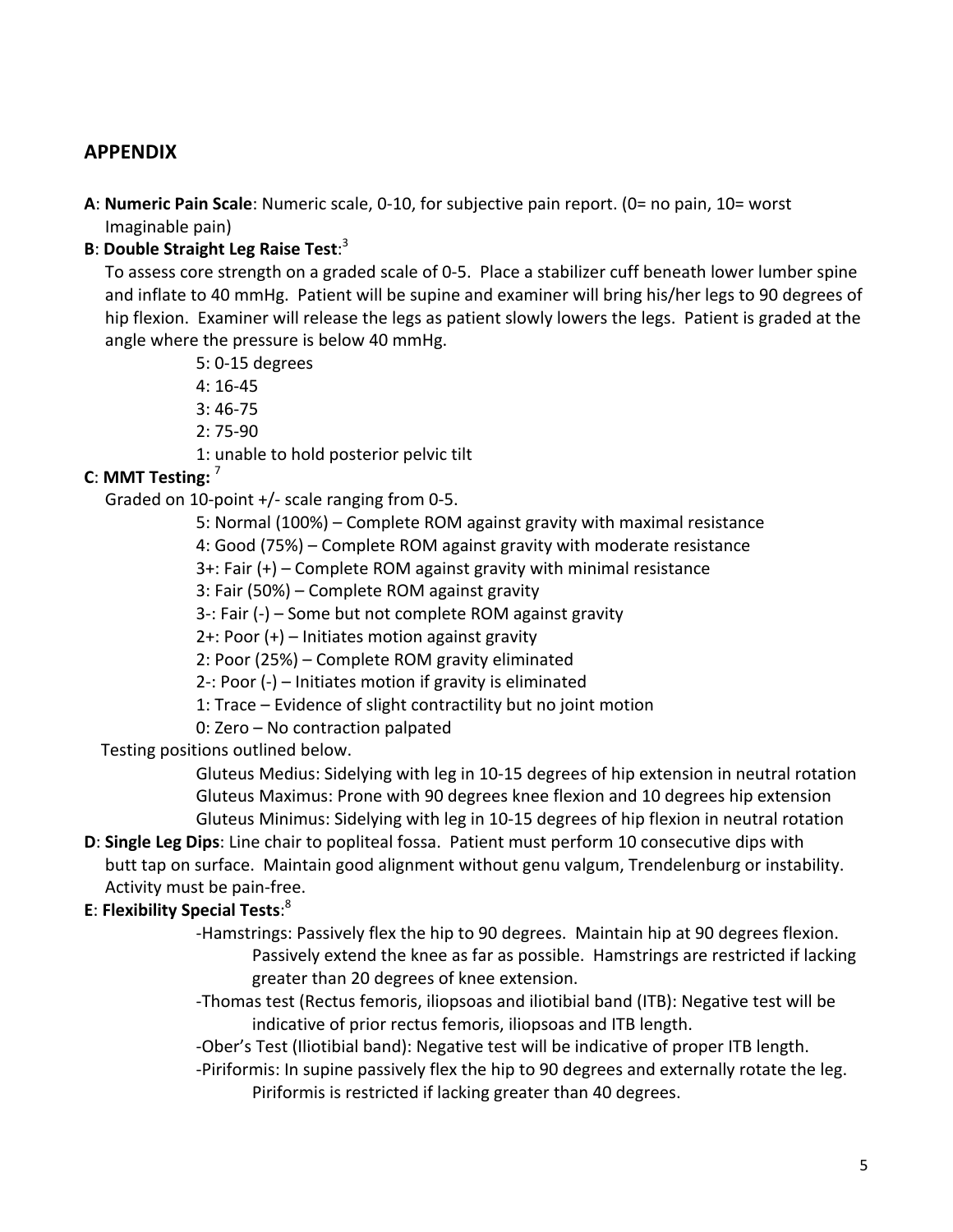## **APPENDIX**

A: Numeric Pain Scale: Numeric scale, 0-10, for subjective pain report. (0= no pain, 10= worst Imaginable pain)

### **B: Double Straight Leg Raise Test:**<sup>3</sup>

To assess core strength on a graded scale of 0-5. Place a stabilizer cuff beneath lower lumber spine and inflate to 40 mmHg. Patient will be supine and examiner will bring his/her legs to 90 degrees of hip flexion. Examiner will release the legs as patient slowly lowers the legs. Patient is graded at the angle where the pressure is below 40 mmHg.

5: 0-15 degrees

4: 16-45

3: 46-75

2: 75-90

1: unable to hold posterior pelvic tilt

## **C**: MMT Testing: <sup>7</sup>

Graded on 10-point  $+/-$  scale ranging from 0-5.

5: Normal (100%) – Complete ROM against gravity with maximal resistance

4: Good (75%) – Complete ROM against gravity with moderate resistance

 $3+$ : Fair  $(+)$  – Complete ROM against gravity with minimal resistance

3: Fair (50%) – Complete ROM against gravity

3-: Fair  $(-)$  – Some but not complete ROM against gravity

 $2+$ : Poor  $(+)$  – Initiates motion against gravity

2: Poor (25%) – Complete ROM gravity eliminated

2-: Poor  $(-)$  – Initiates motion if gravity is eliminated

1: Trace – Evidence of slight contractility but no joint motion

0: Zero - No contraction palpated

Testing positions outlined below.

Gluteus Medius: Sidelying with leg in 10-15 degrees of hip extension in neutral rotation Gluteus Maximus: Prone with 90 degrees knee flexion and 10 degrees hip extension Gluteus Minimus: Sidelying with leg in 10-15 degrees of hip flexion in neutral rotation

**D: Single Leg Dips:** Line chair to popliteal fossa. Patient must perform 10 consecutive dips with butt tap on surface. Maintain good alignment without genu valgum, Trendelenburg or instability. Activity must be pain-free.

## **E**: **Flexibility Special Tests**: 8

-Hamstrings: Passively flex the hip to 90 degrees. Maintain hip at 90 degrees flexion. Passively extend the knee as far as possible. Hamstrings are restricted if lacking greater than 20 degrees of knee extension.

-Thomas test (Rectus femoris, iliopsoas and iliotibial band (ITB): Negative test will be indicative of prior rectus femoris, iliopsoas and ITB length.

-Ober's Test (Iliotibial band): Negative test will be indicative of proper ITB length.

-Piriformis: In supine passively flex the hip to 90 degrees and externally rotate the leg. Piriformis is restricted if lacking greater than 40 degrees.